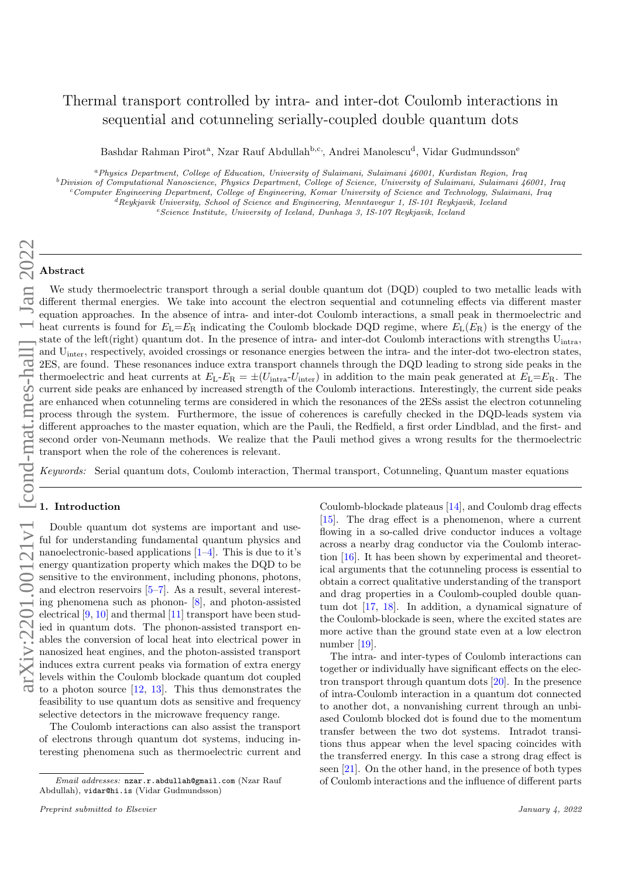# Thermal transport controlled by intra- and inter-dot Coulomb interactions in sequential and cotunneling serially-coupled double quantum dots

Bashdar Rahman Pirot<sup>a</sup>, Nzar Rauf Abdullah<sup>b,c,</sup>, Andrei Manolescu<sup>d</sup>, Vidar Gudmundsson<sup>e</sup>

<sup>a</sup>Physics Department, College of Education, University of Sulaimani, Sulaimani 46001, Kurdistan Region, Iraq <sup>b</sup>Division of Computational Nanoscience, Physics Department, College of Science, University of Sulaimani, Sulaimani 46001, Iraq  $c$ Computer Engineering Department, College of Engineering, Komar University of Science and Technology, Sulaimani, Iraq  ${}^d$ Reykjavik University, School of Science and Engineering, Menntavegur 1, IS-101 Reykjavik, Iceland <sup>e</sup>Science Institute, University of Iceland, Dunhaga 3, IS-107 Reykjavik, Iceland

## Abstract

We study thermoelectric transport through a serial double quantum dot (DQD) coupled to two metallic leads with different thermal energies. We take into account the electron sequential and cotunneling effects via different master equation approaches. In the absence of intra- and inter-dot Coulomb interactions, a small peak in thermoelectric and heat currents is found for  $E_L=E_R$  indicating the Coulomb blockade DQD regime, where  $E_L(E_R)$  is the energy of the state of the left(right) quantum dot. In the presence of intra- and inter-dot Coulomb interactions with strengths  $U_{intra}$ , and Uinter, respectively, avoided crossings or resonance energies between the intra- and the inter-dot two-electron states, 2ES, are found. These resonances induce extra transport channels through the DQD leading to strong side peaks in the thermoelectric and heat currents at  $E_L-E_R = \pm (U_{intra}-U_{inter})$  in addition to the main peak generated at  $E_L=E_R$ . The current side peaks are enhanced by increased strength of the Coulomb interactions. Interestingly, the current side peaks are enhanced when cotunneling terms are considered in which the resonances of the 2ESs assist the electron cotunneling process through the system. Furthermore, the issue of coherences is carefully checked in the DQD-leads system via different approaches to the master equation, which are the Pauli, the Redfield, a first order Lindblad, and the first- and second order von-Neumann methods. We realize that the Pauli method gives a wrong results for the thermoelectric transport when the role of the coherences is relevant.

Keywords: Serial quantum dots, Coulomb interaction, Thermal transport, Cotunneling, Quantum master equations

### 1. Introduction

Double quantum dot systems are important and useful for understanding fundamental quantum physics and nanoelectronic-based applications [\[1–](#page-7-0)[4\]](#page-7-1). This is due to it's energy quantization property which makes the DQD to be sensitive to the environment, including phonons, photons, and electron reservoirs [\[5–](#page-7-2)[7\]](#page-7-3). As a result, several interesting phenomena such as phonon- [\[8\]](#page-7-4), and photon-assisted electrical [\[9,](#page-7-5) [10\]](#page-7-6) and thermal [\[11\]](#page-7-7) transport have been studied in quantum dots. The phonon-assisted transport enables the conversion of local heat into electrical power in nanosized heat engines, and the photon-assisted transport induces extra current peaks via formation of extra energy levels within the Coulomb blockade quantum dot coupled to a photon source [\[12,](#page-7-8) [13\]](#page-7-9). This thus demonstrates the feasibility to use quantum dots as sensitive and frequency selective detectors in the microwave frequency range.

The Coulomb interactions can also assist the transport of electrons through quantum dot systems, inducing interesting phenomena such as thermoelectric current and

Coulomb-blockade plateaus [\[14\]](#page-7-10), and Coulomb drag effects [\[15\]](#page-7-11). The drag effect is a phenomenon, where a current flowing in a so-called drive conductor induces a voltage across a nearby drag conductor via the Coulomb interaction [\[16\]](#page-7-12). It has been shown by experimental and theoretical arguments that the cotunneling process is essential to obtain a correct qualitative understanding of the transport and drag properties in a Coulomb-coupled double quantum dot [\[17,](#page-7-13) [18\]](#page-7-14). In addition, a dynamical signature of the Coulomb-blockade is seen, where the excited states are more active than the ground state even at a low electron number [\[19\]](#page-7-15).

The intra- and inter-types of Coulomb interactions can together or individually have significant effects on the electron transport through quantum dots [\[20\]](#page-7-16). In the presence of intra-Coulomb interaction in a quantum dot connected to another dot, a nonvanishing current through an unbiased Coulomb blocked dot is found due to the momentum transfer between the two dot systems. Intradot transitions thus appear when the level spacing coincides with the transferred energy. In this case a strong drag effect is seen [\[21\]](#page-7-17). On the other hand, in the presence of both types of Coulomb interactions and the influence of different parts

Email addresses: nzar.r.abdullah@gmail.com (Nzar Rauf Abdullah), vidar@hi.is (Vidar Gudmundsson)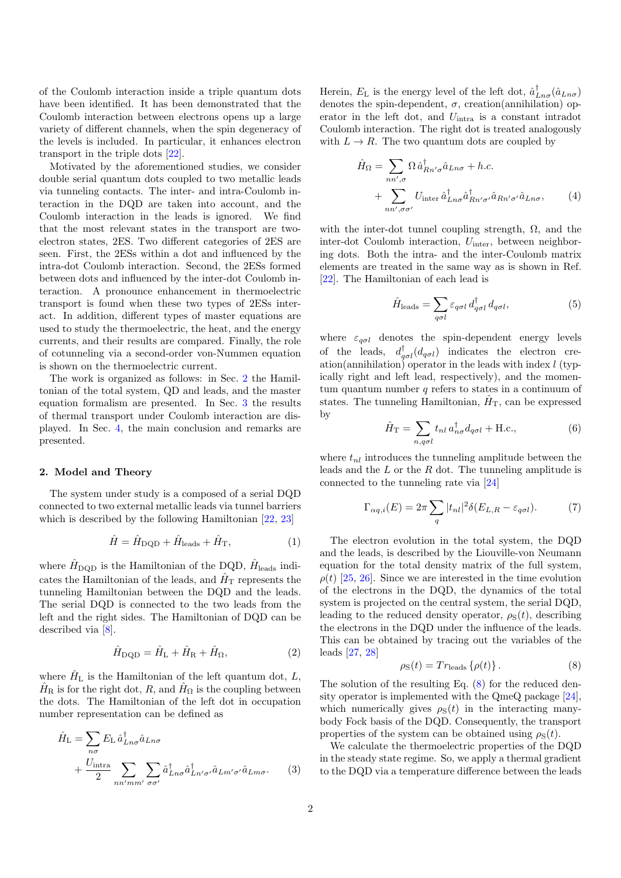of the Coulomb interaction inside a triple quantum dots have been identified. It has been demonstrated that the Coulomb interaction between electrons opens up a large variety of different channels, when the spin degeneracy of the levels is included. In particular, it enhances electron transport in the triple dots [\[22\]](#page-7-18).

Motivated by the aforementioned studies, we consider double serial quantum dots coupled to two metallic leads via tunneling contacts. The inter- and intra-Coulomb interaction in the DQD are taken into account, and the Coulomb interaction in the leads is ignored. We find that the most relevant states in the transport are twoelectron states, 2ES. Two different categories of 2ES are seen. First, the 2ESs within a dot and influenced by the intra-dot Coulomb interaction. Second, the 2ESs formed between dots and influenced by the inter-dot Coulomb interaction. A pronounce enhancement in thermoelectric transport is found when these two types of 2ESs interact. In addition, different types of master equations are used to study the thermoelectric, the heat, and the energy currents, and their results are compared. Finally, the role of cotunneling via a second-order von-Nummen equation is shown on the thermoelectric current.

The work is organized as follows: in Sec. [2](#page-1-0) the Hamiltonian of the total system, QD and leads, and the master equation formalism are presented. In Sec. [3](#page-2-0) the results of thermal transport under Coulomb interaction are displayed. In Sec. [4,](#page-6-0) the main conclusion and remarks are presented.

## <span id="page-1-0"></span>2. Model and Theory

The system under study is a composed of a serial DQD connected to two external metallic leads via tunnel barriers which is described by the following Hamiltonian [\[22,](#page-7-18) [23\]](#page-7-19)

$$
\hat{H} = \hat{H}_{\text{DQD}} + \hat{H}_{\text{leads}} + \hat{H}_{\text{T}},\tag{1}
$$

where  $\hat{H}_{\text{DQD}}$  is the Hamiltonian of the DQD,  $\hat{H}_{\text{leads}}$  indicates the Hamiltonian of the leads, and  $\hat{H}_{\rm T}$  represents the tunneling Hamiltonian between the DQD and the leads. The serial DQD is connected to the two leads from the left and the right sides. The Hamiltonian of DQD can be described via [\[8\]](#page-7-4).

$$
\hat{H}_{\text{DQD}} = \hat{H}_{\text{L}} + \hat{H}_{\text{R}} + \hat{H}_{\Omega},\tag{2}
$$

where  $\hat{H}_{\text{L}}$  is the Hamiltonian of the left quantum dot, L,  $\hat{H}_{\text{R}}$  is for the right dot, R, and  $\hat{H}_{\Omega}$  is the coupling between the dots. The Hamiltonian of the left dot in occupation number representation can be defined as

$$
\hat{H}_{\rm L} = \sum_{n\sigma} E_{\rm L} \hat{a}_{Ln\sigma}^{\dagger} \hat{a}_{Ln\sigma} \n+ \frac{U_{\rm intra}}{2} \sum_{nn'mm'} \sum_{\sigma\sigma'} \hat{a}_{Ln\sigma}^{\dagger} \hat{a}_{Ln'\sigma'}^{\dagger} \hat{a}_{Ln'\sigma'} \hat{a}_{Ln\sigma}.
$$
\n(3)

Herein,  $E_{\rm L}$  is the energy level of the left dot,  $\hat{a}_{Ln\sigma}^{\dagger}(\hat{a}_{Ln\sigma})$ denotes the spin-dependent,  $\sigma$ , creation(annihilation) operator in the left dot, and Uintra is a constant intradot Coulomb interaction. The right dot is treated analogously with  $L \to R$ . The two quantum dots are coupled by

$$
\hat{H}_{\Omega} = \sum_{nn',\sigma} \Omega \hat{a}_{Rn'\sigma}^{\dagger} \hat{a}_{Ln\sigma} + h.c.
$$
  
+ 
$$
\sum_{nn',\sigma\sigma'} U_{\text{inter}} \hat{a}_{Ln\sigma}^{\dagger} \hat{a}_{Rn'\sigma'}^{\dagger} \hat{a}_{Rn'\sigma'} \hat{a}_{Ln\sigma}, \qquad (4)
$$

with the inter-dot tunnel coupling strength,  $\Omega$ , and the inter-dot Coulomb interaction,  $U_{\text{inter}}$ , between neighboring dots. Both the intra- and the inter-Coulomb matrix elements are treated in the same way as is shown in Ref. [\[22\]](#page-7-18). The Hamiltonian of each lead is

$$
\hat{H}_{\text{leads}} = \sum_{q\sigma l} \varepsilon_{q\sigma l} d_{q\sigma l}^{\dagger} d_{q\sigma l},\tag{5}
$$

where  $\varepsilon_{q\sigma l}$  denotes the spin-dependent energy levels of the leads,  $d_{q\sigma l}^{\dagger}(d_{q\sigma l})$  indicates the electron creation(annihilation) operator in the leads with index  $l$  (typically right and left lead, respectively), and the momentum quantum number  $q$  refers to states in a continuum of states. The tunneling Hamiltonian,  $\hat{H}_{\rm T}$ , can be expressed by

$$
\hat{H}_{\rm T} = \sum_{n,q\sigma l} t_{nl} a_{n\sigma}^{\dagger} d_{q\sigma l} + \text{H.c.},\tag{6}
$$

where  $t_{nl}$  introduces the tunneling amplitude between the leads and the  $L$  or the  $R$  dot. The tunneling amplitude is connected to the tunneling rate via [\[24\]](#page-7-20)

$$
\Gamma_{\alpha q,i}(E) = 2\pi \sum_{q} |t_{nl}|^2 \delta(E_{L,R} - \varepsilon_{q\sigma l}). \tag{7}
$$

The electron evolution in the total system, the DQD and the leads, is described by the Liouville-von Neumann equation for the total density matrix of the full system,  $\rho(t)$  [\[25,](#page-8-0) [26\]](#page-8-1). Since we are interested in the time evolution of the electrons in the DQD, the dynamics of the total system is projected on the central system, the serial DQD, leading to the reduced density operator,  $\rho_{\rm S}(t)$ , describing the electrons in the DQD under the influence of the leads. This can be obtained by tracing out the variables of the leads [\[27,](#page-8-2) [28\]](#page-8-3)

<span id="page-1-1"></span>
$$
\rho_{\rm S}(t) = Tr_{\rm leads} \{\rho(t)\} \,. \tag{8}
$$

The solution of the resulting Eq. [\(8\)](#page-1-1) for the reduced density operator is implemented with the QmeQ package [\[24\]](#page-7-20), which numerically gives  $\rho_{\rm S}(t)$  in the interacting manybody Fock basis of the DQD. Consequently, the transport properties of the system can be obtained using  $\rho_{\rm S}(t)$ .

We calculate the thermoelectric properties of the DQD in the steady state regime. So, we apply a thermal gradient to the DQD via a temperature difference between the leads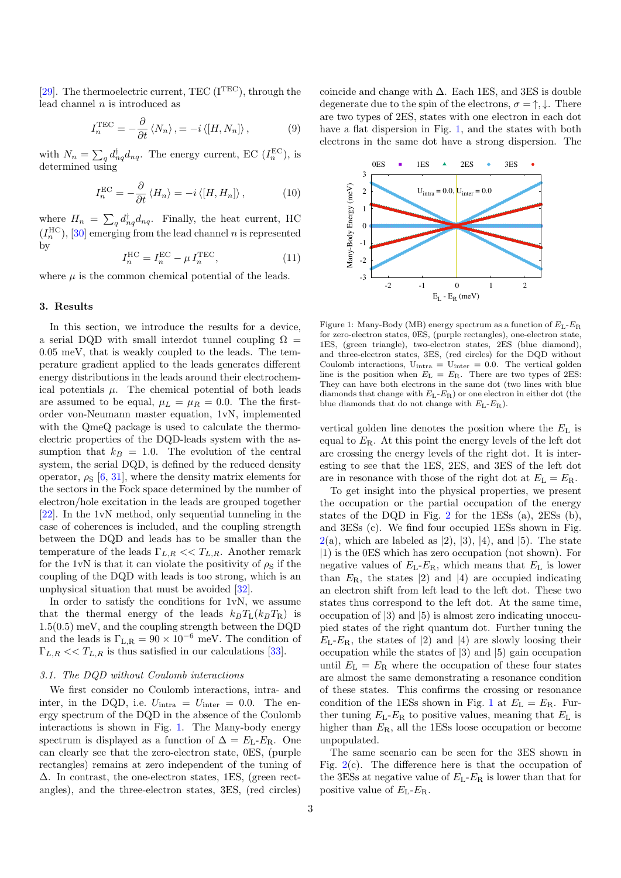[\[29\]](#page-8-4). The thermoelectric current, TEC ( $I<sup>TEC</sup>$ ), through the lead channel  $n$  is introduced as

$$
I_n^{\text{TEC}} = -\frac{\partial}{\partial t} \langle N_n \rangle, = -i \langle [H, N_n] \rangle, \qquad (9)
$$

with  $N_n = \sum_q d_{nq}^{\dagger} d_{nq}$ . The energy current, EC  $(I_n^{\text{EC}})$ , is determined using

$$
I_n^{\text{EC}} = -\frac{\partial}{\partial t} \langle H_n \rangle = -i \langle [H, H_n] \rangle, \qquad (10)
$$

where  $H_n = \sum_q d_{nq}^{\dagger} d_{nq}$ . Finally, the heat current, HC  $(I_n^{\text{HC}}),$  [\[30\]](#page-8-5) emerging from the lead channel n is represented by

<span id="page-2-2"></span>
$$
I_n^{\text{HC}} = I_n^{\text{EC}} - \mu I_n^{\text{TEC}},\tag{11}
$$

where  $\mu$  is the common chemical potential of the leads.

#### <span id="page-2-0"></span>3. Results

In this section, we introduce the results for a device, a serial DQD with small interdot tunnel coupling  $\Omega =$ 0.05 meV, that is weakly coupled to the leads. The temperature gradient applied to the leads generates different energy distributions in the leads around their electrochemical potentials  $\mu$ . The chemical potential of both leads are assumed to be equal,  $\mu_L = \mu_R = 0.0$ . The the firstorder von-Neumann master equation, 1vN, implemented with the QmeQ package is used to calculate the thermoelectric properties of the DQD-leads system with the assumption that  $k_B = 1.0$ . The evolution of the central system, the serial DQD, is defined by the reduced density operator,  $\rho_s$  [\[6,](#page-7-21) [31\]](#page-8-6), where the density matrix elements for the sectors in the Fock space determined by the number of electron/hole excitation in the leads are grouped together [\[22\]](#page-7-18). In the 1vN method, only sequential tunneling in the case of coherences is included, and the coupling strength between the DQD and leads has to be smaller than the temperature of the leads  $\Gamma_{L,R} \ll T_{L,R}$ . Another remark for the 1vN is that it can violate the positivity of  $\rho_S$  if the coupling of the DQD with leads is too strong, which is an unphysical situation that must be avoided [\[32\]](#page-8-7).

In order to satisfy the conditions for 1vN, we assume that the thermal energy of the leads  $k_B T_L (k_B T_R)$  is 1.5(0.5) meV, and the coupling strength between the DQD and the leads is  $\Gamma_{L,R} = 90 \times 10^{-6}$  meV. The condition of  $\Gamma_{L,R} \ll T_{L,R}$  is thus satisfied in our calculations [\[33\]](#page-8-8).

#### 3.1. The DQD without Coulomb interactions

We first consider no Coulomb interactions, intra- and inter, in the DQD, i.e.  $U_{\text{intra}} = U_{\text{inter}} = 0.0$ . The energy spectrum of the DQD in the absence of the Coulomb interactions is shown in Fig. [1.](#page-2-1) The Many-body energy spectrum is displayed as a function of  $\Delta = E_L - E_R$ . One can clearly see that the zero-electron state, 0ES, (purple rectangles) remains at zero independent of the tuning of ∆. In contrast, the one-electron states, 1ES, (green rectangles), and the three-electron states, 3ES, (red circles)

coincide and change with  $\Delta$ . Each 1ES, and 3ES is double degenerate due to the spin of the electrons,  $\sigma = \uparrow, \downarrow$ . There are two types of 2ES, states with one electron in each dot have a flat dispersion in Fig. [1,](#page-2-1) and the states with both electrons in the same dot have a strong dispersion. The

<span id="page-2-1"></span>

Figure 1: Many-Body (MB) energy spectrum as a function of  $E_L-E_R$ for zero-electron states, 0ES, (purple rectangles), one-electron state, 1ES, (green triangle), two-electron states, 2ES (blue diamond), and three-electron states, 3ES, (red circles) for the DQD without Coulomb interactions,  $U_{intra} = U_{inter} = 0.0$ . The vertical golden line is the position when  $E_{\rm L} = E_{\rm R}$ . There are two types of 2ES: They can have both electrons in the same dot (two lines with blue diamonds that change with  $E_L-E_R$ ) or one electron in either dot (the blue diamonds that do not change with  $E_L-E_R$ ).

vertical golden line denotes the position where the  $E<sub>L</sub>$  is equal to  $E_{\rm R}$ . At this point the energy levels of the left dot are crossing the energy levels of the right dot. It is interesting to see that the 1ES, 2ES, and 3ES of the left dot are in resonance with those of the right dot at  $E<sub>L</sub> = E<sub>R</sub>$ .

To get insight into the physical properties, we present the occupation or the partial occupation of the energy states of the DQD in Fig. [2](#page-3-0) for the 1ESs (a), 2ESs (b), and 3ESs (c). We find four occupied 1ESs shown in Fig.  $2(a)$  $2(a)$ , which are labeled as  $(2), (3), (4),$  and  $(5)$ . The state |1) is the 0ES which has zero occupation (not shown). For negative values of  $E_L$ - $E_R$ , which means that  $E_L$  is lower than  $E_{\rm R}$ , the states (2) and (4) are occupied indicating an electron shift from left lead to the left dot. These two states thus correspond to the left dot. At the same time, occupation of |3) and |5) is almost zero indicating unoccupied states of the right quantum dot. Further tuning the  $E_L-E_R$ , the states of (2) and (4) are slowly loosing their occupation while the states of |3) and |5) gain occupation until  $E_{\rm L} = E_{\rm R}$  where the occupation of these four states are almost the same demonstrating a resonance condition of these states. This confirms the crossing or resonance condition of the [1](#page-2-1)ESs shown in Fig. 1 at  $E<sub>L</sub> = E<sub>R</sub>$ . Further tuning  $E_L-E_R$  to positive values, meaning that  $E_L$  is higher than  $E_R$ , all the 1ESs loose occupation or become unpopulated.

The same scenario can be seen for the 3ES shown in Fig.  $2(c)$  $2(c)$ . The difference here is that the occupation of the 3ESs at negative value of  $E_L$ - $E_R$  is lower than that for positive value of  $E_{\rm L}$ - $E_{\rm R}$ .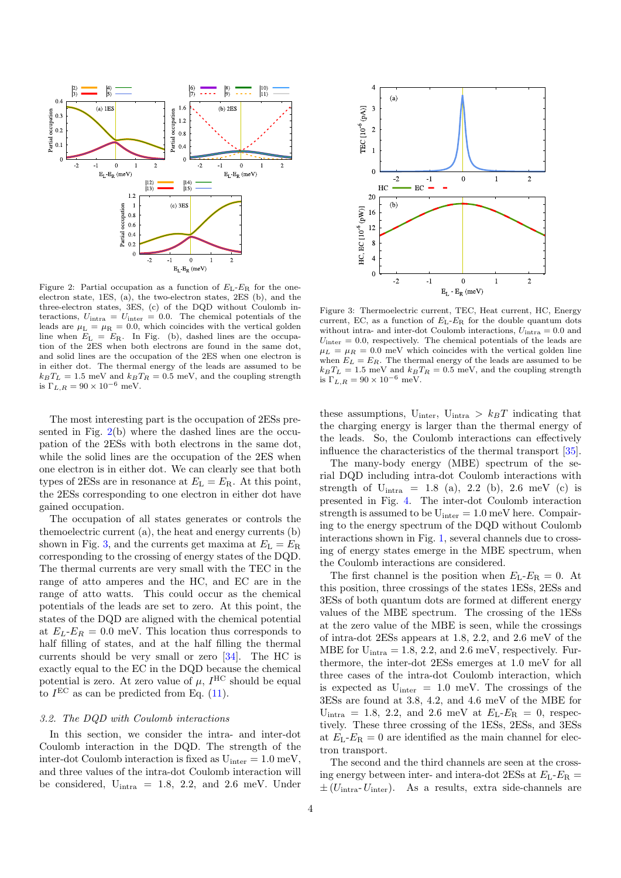<span id="page-3-0"></span>

Figure 2: Partial occupation as a function of  $E_{\rm L}$ - $E_{\rm R}$  for the oneelectron state, 1ES, (a), the two-electron states, 2ES (b), and the three-electron states, 3ES, (c) of the DQD without Coulomb interactions,  $U_{\text{intra}} = U_{\text{inter}} = 0.0$ . The chemical potentials of the leads are  $\mu$ <sub>L</sub> =  $\mu$ <sub>R</sub> = 0.0, which coincides with the vertical golden line when  $E_L = E_R$ . In Fig. (b), dashed lines are the occupation of the 2ES when both electrons are found in the same dot, and solid lines are the occupation of the 2ES when one electron is in either dot. The thermal energy of the leads are assumed to be  $k_B T_L = 1.5$  meV and  $k_B T_R = 0.5$  meV, and the coupling strength is  $\Gamma_{L,R} = 90 \times 10^{-6}$  meV.

The most interesting part is the occupation of 2ESs presented in Fig. [2\(](#page-3-0)b) where the dashed lines are the occupation of the 2ESs with both electrons in the same dot, while the solid lines are the occupation of the 2ES when one electron is in either dot. We can clearly see that both types of 2ESs are in resonance at  $E<sub>L</sub> = E<sub>R</sub>$ . At this point, the 2ESs corresponding to one electron in either dot have gained occupation.

The occupation of all states generates or controls the themoelectric current (a), the heat and energy currents (b) shown in Fig. [3,](#page-3-1) and the currents get maxima at  $E<sub>L</sub> = E<sub>R</sub>$ corresponding to the crossing of energy states of the DQD. The thermal currents are very small with the TEC in the range of atto amperes and the HC, and EC are in the range of atto watts. This could occur as the chemical potentials of the leads are set to zero. At this point, the states of the DQD are aligned with the chemical potential at  $E_L-E_R = 0.0$  meV. This location thus corresponds to half filling of states, and at the half filling the thermal currents should be very small or zero [\[34\]](#page-8-9). The HC is exactly equal to the EC in the DQD because the chemical potential is zero. At zero value of  $\mu$ ,  $I^{HC}$  should be equal to  $I<sup>EC</sup>$  as can be predicted from Eq. [\(11\)](#page-2-2).

#### 3.2. The DQD with Coulomb interactions

In this section, we consider the intra- and inter-dot Coulomb interaction in the DQD. The strength of the inter-dot Coulomb interaction is fixed as  $U_{inter} = 1.0$  meV, and three values of the intra-dot Coulomb interaction will be considered,  $U_{intra} = 1.8, 2.2, and 2.6 meV$ . Under

<span id="page-3-1"></span>

Figure 3: Thermoelectric current, TEC, Heat current, HC, Energy current, EC, as a function of  $E_L$ - $E_R$  for the double quantum dots without intra- and inter-dot Coulomb interactions,  $U_{\text{intra}} = 0.0$  and  $U_{\text{inter}} = 0.0$ , respectively. The chemical potentials of the leads are  $\mu_L = \mu_R = 0.0$  meV which coincides with the vertical golden line when  $E_L = E_R$ . The thermal energy of the leads are assumed to be  $k_B T_L = 1.5~\mathrm{meV}$  and  $k_B T_R = 0.5~\mathrm{meV},$  and the coupling strength is  $\Gamma_{L,R} = 90 \times 10^{-6}$  meV.

these assumptions,  $U_{inter}$ ,  $U_{inter} > k_BT$  indicating that the charging energy is larger than the thermal energy of the leads. So, the Coulomb interactions can effectively influence the characteristics of the thermal transport [\[35\]](#page-8-10).

The many-body energy (MBE) spectrum of the serial DQD including intra-dot Coulomb interactions with strength of  $U_{intra} = 1.8$  (a), 2.2 (b), 2.6 meV (c) is presented in Fig. [4.](#page-4-0) The inter-dot Coulomb interaction strength is assumed to be  $U_{inter} = 1.0$  meV here. Compairing to the energy spectrum of the DQD without Coulomb interactions shown in Fig. [1,](#page-2-1) several channels due to crossing of energy states emerge in the MBE spectrum, when the Coulomb interactions are considered.

The first channel is the position when  $E_L-E_R=0$ . At this position, three crossings of the states 1ESs, 2ESs and 3ESs of both quantum dots are formed at different energy values of the MBE spectrum. The crossing of the 1ESs at the zero value of the MBE is seen, while the crossings of intra-dot 2ESs appears at 1.8, 2.2, and 2.6 meV of the MBE for  $U_{intra} = 1.8, 2.2,$  and  $2.6$  meV, respectively. Furthermore, the inter-dot 2ESs emerges at 1.0 meV for all three cases of the intra-dot Coulomb interaction, which is expected as  $U_{inter} = 1.0$  meV. The crossings of the 3ESs are found at 3.8, 4.2, and 4.6 meV of the MBE for  $U_{intra} = 1.8, 2.2, and 2.6 meV at E<sub>L</sub>-E<sub>R</sub> = 0, respectively.$ tively. These three crossing of the 1ESs, 2ESs, and 3ESs at  $E_L-E_R=0$  are identified as the main channel for electron transport.

The second and the third channels are seen at the crossing energy between inter- and intera-dot 2ESs at  $E_L-E_R =$  $\pm (U_{\text{intra}}-U_{\text{inter}})$ . As a results, extra side-channels are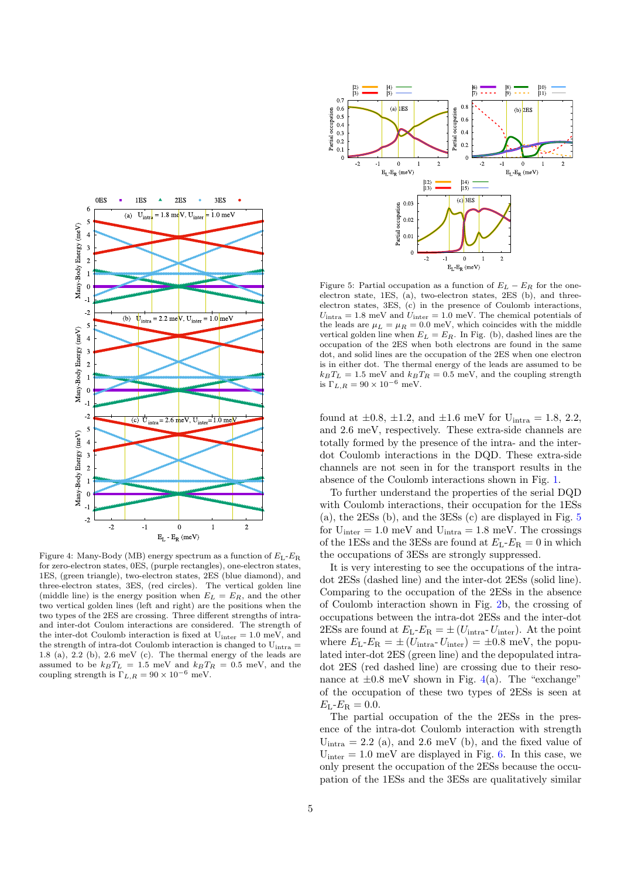<span id="page-4-0"></span>

Figure 4: Many-Body (MB) energy spectrum as a function of  $E_L$ - $E_R$ for zero-electron states, 0ES, (purple rectangles), one-electron states, 1ES, (green triangle), two-electron states, 2ES (blue diamond), and three-electron states, 3ES, (red circles). The vertical golden line (middle line) is the energy position when  $E_L = E_R$ , and the other two vertical golden lines (left and right) are the positions when the two types of the 2ES are crossing. Three different strengths of intraand inter-dot Coulom interactions are considered. The strength of the inter-dot Coulomb interaction is fixed at  $U_{inter} = 1.0$  meV, and the strength of intra-dot Coulomb interaction is changed to  $U_{intra} =$ 1.8 (a), 2.2 (b), 2.6 meV (c). The thermal energy of the leads are assumed to be  $k_B T_L = 1.5$  meV and  $k_B T_R = 0.5$  meV, and the coupling strength is  $\Gamma_{L,R} = 90 \times 10^{-6}$  meV.

<span id="page-4-1"></span>

Figure 5: Partial occupation as a function of  $E_L - E_R$  for the oneelectron state, 1ES, (a), two-electron states, 2ES (b), and threeelectron states, 3ES, (c) in the presence of Coulomb interactions,  $U_{\text{intra}} = 1.8 \text{ meV}$  and  $U_{\text{inter}} = 1.0 \text{ meV}$ . The chemical potentials of the leads are  $\mu_L = \mu_R = 0.0$  meV, which coincides with the middle vertical golden line when  $E_L = E_R$ . In Fig. (b), dashed lines are the occupation of the 2ES when both electrons are found in the same dot, and solid lines are the occupation of the 2ES when one electron is in either dot. The thermal energy of the leads are assumed to be  $k_BT_L = 1.5$  meV and  $k_BT_R = 0.5$  meV, and the coupling strength is  $\Gamma_{L,R} = 90 \times 10^{-6}$  meV.

found at  $\pm 0.8$ ,  $\pm 1.2$ , and  $\pm 1.6$  meV for U<sub>intra</sub> = 1.8, 2.2, and 2.6 meV, respectively. These extra-side channels are totally formed by the presence of the intra- and the interdot Coulomb interactions in the DQD. These extra-side channels are not seen in for the transport results in the absence of the Coulomb interactions shown in Fig. [1.](#page-2-1)

To further understand the properties of the serial DQD with Coulomb interactions, their occupation for the 1ESs (a), the 2ESs (b), and the 3ESs (c) are displayed in Fig. [5](#page-4-1) for  $U_{inter} = 1.0$  meV and  $U_{intra} = 1.8$  meV. The crossings of the 1ESs and the 3ESs are found at  $E_L-E_R=0$  in which the occupations of 3ESs are strongly suppressed.

It is very interesting to see the occupations of the intradot 2ESs (dashed line) and the inter-dot 2ESs (solid line). Comparing to the occupation of the 2ESs in the absence of Coulomb interaction shown in Fig. [2b](#page-3-0), the crossing of occupations between the intra-dot 2ESs and the inter-dot 2ESs are found at  $E_L-E_R = \pm (U_{\text{intra}}-U_{\text{inter}})$ . At the point where  $E_{\rm L}$ - $E_{\rm R}$  =  $\pm (U_{\rm intra}$ - $U_{\rm inter})$  =  $\pm 0.8$  meV, the populated inter-dot 2ES (green line) and the depopulated intradot 2ES (red dashed line) are crossing due to their resonance at  $\pm 0.8$  meV shown in Fig. [4\(](#page-4-0)a). The "exchange" of the occupation of these two types of 2ESs is seen at  $E_{\rm L}$ - $E_{\rm R} = 0.0$ .

The partial occupation of the the 2ESs in the presence of the intra-dot Coulomb interaction with strength  $U_{intra} = 2.2$  (a), and 2.6 meV (b), and the fixed value of  $U_{\text{inter}} = 1.0 \text{ meV}$  are displayed in Fig. [6.](#page-5-0) In this case, we only present the occupation of the 2ESs because the occupation of the 1ESs and the 3ESs are qualitatively similar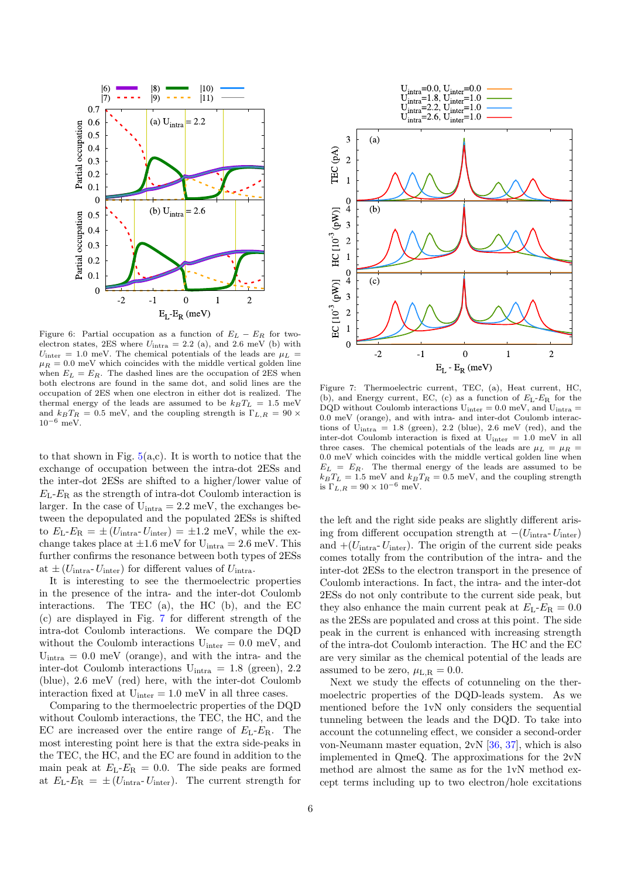<span id="page-5-0"></span>

Figure 6: Partial occupation as a function of  $E_L - E_R$  for twoelectron states, 2ES where  $U_{\text{intra}} = 2.2$  (a), and 2.6 meV (b) with  $U_{\text{inter}} = 1.0 \text{ meV}$ . The chemical potentials of the leads are  $\mu_L$  =  $\mu_R = 0.0$  meV which coincides with the middle vertical golden line when  $E_L = E_R$ . The dashed lines are the occupation of 2ES when both electrons are found in the same dot, and solid lines are the occupation of 2ES when one electron in either dot is realized. The thermal energy of the leads are assumed to be  $k_BT_L = 1.5$  meV and  $k_BT_R = 0.5$  meV, and the coupling strength is  $\Gamma_{L,R} = 90 \times$  $10^{-6}$  meV.

to that shown in Fig.  $5(a,c)$  $5(a,c)$ . It is worth to notice that the exchange of occupation between the intra-dot 2ESs and the inter-dot 2ESs are shifted to a higher/lower value of  $E_L-E_R$  as the strength of intra-dot Coulomb interaction is larger. In the case of  $U_{intra} = 2.2$  meV, the exchanges between the depopulated and the populated 2ESs is shifted to  $E_{\text{L}}-E_{\text{R}} = \pm (U_{\text{intra}}-U_{\text{inter}}) = \pm 1.2 \text{ meV}$ , while the exchange takes place at  $\pm 1.6$  meV for  $U_{intra} = 2.6$  meV. This further confirms the resonance between both types of 2ESs at  $\pm (U_{\text{intra}}-U_{\text{inter}})$  for different values of  $U_{\text{intra}}$ .

It is interesting to see the thermoelectric properties in the presence of the intra- and the inter-dot Coulomb interactions. The TEC (a), the HC (b), and the EC (c) are displayed in Fig. [7](#page-5-1) for different strength of the intra-dot Coulomb interactions. We compare the DQD without the Coulomb interactions  $U_{inter} = 0.0$  meV, and  $U_{intra} = 0.0$  meV (orange), and with the intra- and the inter-dot Coulomb interactions  $U_{intra} = 1.8$  (green), 2.2 (blue), 2.6 meV (red) here, with the inter-dot Coulomb interaction fixed at  $U_{inter} = 1.0$  meV in all three cases.

Comparing to the thermoelectric properties of the DQD without Coulomb interactions, the TEC, the HC, and the EC are increased over the entire range of  $E_L-E_R$ . The most interesting point here is that the extra side-peaks in the TEC, the HC, and the EC are found in addition to the main peak at  $E_L-E_R = 0.0$ . The side peaks are formed at  $E_L-E_R = \pm (U_{\text{intra}}-U_{\text{inter}})$ . The current strength for

<span id="page-5-1"></span>

Figure 7: Thermoelectric current, TEC, (a), Heat current, HC, (b), and Energy current, EC, (c) as a function of  $E_L-E_R$  for the DQD without Coulomb interactions  $U_{inter} = 0.0$  meV, and  $U_{intra} =$ 0.0 meV (orange), and with intra- and inter-dot Coulomb interactions of  $U_{intra} = 1.8$  (green), 2.2 (blue), 2.6 meV (red), and the inter-dot Coulomb interaction is fixed at Uinter = 1.0 meV in all three cases. The chemical potentials of the leads are  $\mu_L = \mu_R$  = 0.0 meV which coincides with the middle vertical golden line when  $E_L = E_R$ . The thermal energy of the leads are assumed to be  $k_B T_L = 1.5$  meV and  $k_B T_R = 0.5$  meV, and the coupling strength is  $\Gamma_{L,R} = 90 \times 10^{-6}$  meV.

the left and the right side peaks are slightly different arising from different occupation strength at  $-(U_{\text{intra}}-U_{\text{inter}})$ and  $+(U<sub>intra</sub>-U<sub>inter</sub>)$ . The origin of the current side peaks comes totally from the contribution of the intra- and the inter-dot 2ESs to the electron transport in the presence of Coulomb interactions. In fact, the intra- and the inter-dot 2ESs do not only contribute to the current side peak, but they also enhance the main current peak at  $E_L-E_R = 0.0$ as the 2ESs are populated and cross at this point. The side peak in the current is enhanced with increasing strength of the intra-dot Coulomb interaction. The HC and the EC are very similar as the chemical potential of the leads are assumed to be zero,  $\mu_{L,R} = 0.0$ .

Next we study the effects of cotunneling on the thermoelectric properties of the DQD-leads system. As we mentioned before the 1vN only considers the sequential tunneling between the leads and the DQD. To take into account the cotunneling effect, we consider a second-order von-Neumann master equation, 2vN [\[36,](#page-8-11) [37\]](#page-8-12), which is also implemented in QmeQ. The approximations for the 2vN method are almost the same as for the 1vN method except terms including up to two electron/hole excitations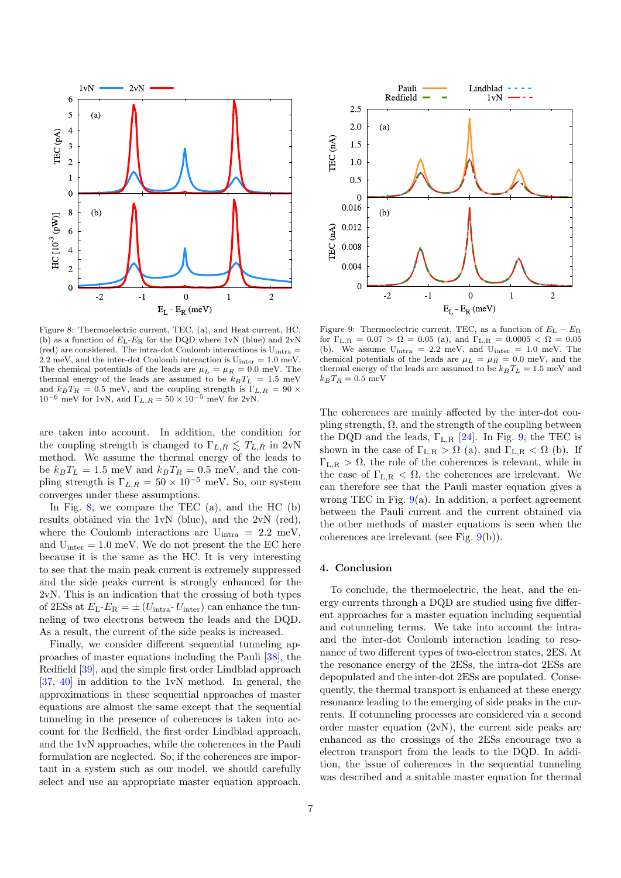<span id="page-6-1"></span>

Figure 8: Thermoelectric current, TEC, (a), and Heat current, HC, (b) as a function of  $E_L$ - $E_R$  for the DQD where 1vN (blue) and 2vN (red) are considered. The intra-dot Coulomb interactions is  $U_{intra}$  $2.2 \text{ meV}$ , and the inter-dot Coulomb interaction is  $U_{inter} = 1.0 \text{ meV}$ . The chemical potentials of the leads are  $\mu_L = \mu_R = 0.0$  meV. The thermal energy of the leads are assumed to be  $k_B T_L = 1.5$  meV and  $k_B T_R = 0.5$  meV, and the coupling strength is  $\Gamma_{L,R} = 90 \times$  $10^{-6}$  meV for 1vN, and  $\Gamma_{L,R} = 50 \times 10^{-5}$  meV for 2vN.

are taken into account. In addition, the condition for the coupling strength is changed to  $\Gamma_{L,R} \lesssim T_{L,R}$  in 2vN method. We assume the thermal energy of the leads to be  $k_B T_L = 1.5$  meV and  $k_B T_R = 0.5$  meV, and the coupling strength is  $\Gamma_{L,R} = 50 \times 10^{-5}$  meV. So, our system converges under these assumptions.

In Fig. [8,](#page-6-1) we compare the TEC  $(a)$ , and the HC  $(b)$ results obtained via the 1vN (blue), and the 2vN (red), where the Coulomb interactions are  $U_{intra} = 2.2$  meV, and  $U_{inter} = 1.0$  meV. We do not present the the EC here because it is the same as the HC. It is very interesting to see that the main peak current is extremely suppressed and the side peaks current is strongly enhanced for the 2vN. This is an indication that the crossing of both types of 2ESs at  $E_L-E_R = \pm (U_{\text{intra}}-U_{\text{inter}})$  can enhance the tunneling of two electrons between the leads and the DQD. As a result, the current of the side peaks is increased.

Finally, we consider different sequential tunneling approaches of master equations including the Pauli [\[38\]](#page-8-13), the Redfield [\[39\]](#page-8-14), and the simple first order Lindblad approach [\[37,](#page-8-12) [40\]](#page-8-15) in addition to the 1vN method. In general, the approximations in these sequential approaches of master equations are almost the same except that the sequential tunneling in the presence of coherences is taken into account for the Redfield, the first order Lindblad approach, and the 1vN approaches, while the coherences in the Pauli formulation are neglected. So, if the coherences are important in a system such as our model, we should carefully select and use an appropriate master equation approach.

<span id="page-6-2"></span>

Figure 9: Thermoelectric current, TEC, as a function of  $E_{\rm L} - E_{\rm R}$ for  $\Gamma_{\text{L,R}} = 0.07 > \Omega = 0.05$  (a), and  $\Gamma_{\text{L,R}} = 0.0005 < \Omega = 0.05$ (b). We assume  $U_{intra} = 2.2$  meV, and  $U_{inter} = 1.0$  meV. The chemical potentials of the leads are  $\mu_L = \mu_R = 0.0$  meV, and the thermal energy of the leads are assumed to be  $k_BT_L = 1.5$  meV and  $k_B T_R = 0.5$  meV

The coherences are mainly affected by the inter-dot coupling strength,  $\Omega$ , and the strength of the coupling between the DQD and the leads,  $\Gamma_{L,R}$  [\[24\]](#page-7-20). In Fig. [9,](#page-6-2) the TEC is shown in the case of  $\Gamma_{L,R} > \Omega$  (a), and  $\Gamma_{L,R} < \Omega$  (b). If  $\Gamma_{\text{L,R}} > \Omega$ , the role of the coherences is relevant, while in the case of  $\Gamma_{\text{L,R}} < \Omega$ , the coherences are irrelevant. We can therefore see that the Pauli master equation gives a wrong TEC in Fig.  $9(a)$  $9(a)$ . In addition, a perfect agreement between the Pauli current and the current obtained via the other methods of master equations is seen when the coherences are irrelevant (see Fig. [9\(](#page-6-2)b)).

## <span id="page-6-0"></span>4. Conclusion

To conclude, the thermoelectric, the heat, and the energy currents through a DQD are studied using five different approaches for a master equation including sequential and cotunneling terms. We take into account the intraand the inter-dot Coulomb interaction leading to resonance of two different types of two-electron states, 2ES. At the resonance energy of the 2ESs, the intra-dot 2ESs are depopulated and the inter-dot 2ESs are populated. Consequently, the thermal transport is enhanced at these energy resonance leading to the emerging of side peaks in the currents. If cotunneling processes are considered via a second order master equation (2vN), the current side peaks are enhanced as the crossings of the 2ESs encourage two a electron transport from the leads to the DQD. In addition, the issue of coherences in the sequential tunneling was described and a suitable master equation for thermal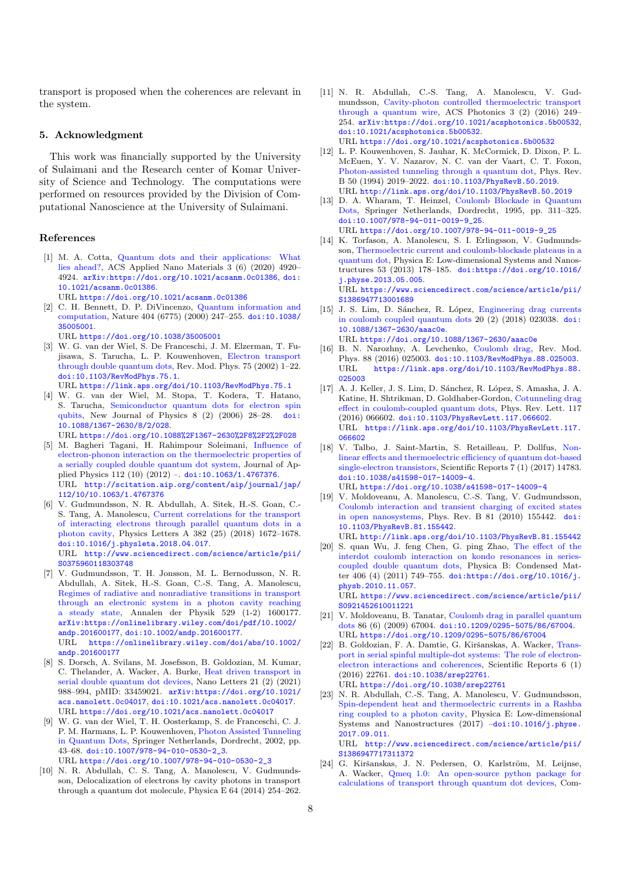transport is proposed when the coherences are relevant in the system.

### 5. Acknowledgment

This work was financially supported by the University of Sulaimani and the Research center of Komar University of Science and Technology. The computations were performed on resources provided by the Division of Computational Nanoscience at the University of Sulaimani.

#### References

- <span id="page-7-0"></span>[1] M. A. Cotta, [Quantum dots and their applications: What](https://doi.org/10.1021/acsanm.0c01386) [lies ahead?,](https://doi.org/10.1021/acsanm.0c01386) ACS Applied Nano Materials 3 (6) (2020) 4920– 4924. [arXiv:https://doi.org/10.1021/acsanm.0c01386](http://arxiv.org/abs/https://doi.org/10.1021/acsanm.0c01386), [doi:](https://doi.org/10.1021/acsanm.0c01386) [10.1021/acsanm.0c01386](https://doi.org/10.1021/acsanm.0c01386).
	- URL <https://doi.org/10.1021/acsanm.0c01386>
- [2] C. H. Bennett, D. P. DiVincenzo, [Quantum information and](https://doi.org/10.1038/35005001) [computation,](https://doi.org/10.1038/35005001) Nature 404 (6775) (2000) 247–255. [doi:10.1038/](https://doi.org/10.1038/35005001) [35005001](https://doi.org/10.1038/35005001).
- URL <https://doi.org/10.1038/35005001>
- [3] W. G. van der Wiel, S. De Franceschi, J. M. Elzerman, T. Fujisawa, S. Tarucha, L. P. Kouwenhoven, [Electron transport](https://link.aps.org/doi/10.1103/RevModPhys.75.1) [through double quantum dots,](https://link.aps.org/doi/10.1103/RevModPhys.75.1) Rev. Mod. Phys. 75 (2002) 1–22. [doi:10.1103/RevModPhys.75.1](https://doi.org/10.1103/RevModPhys.75.1). URL <https://link.aps.org/doi/10.1103/RevModPhys.75.1>
- <span id="page-7-1"></span>[4] W. G. van der Wiel, M. Stopa, T. Kodera, T. Hatano, S. Tarucha, [Semiconductor quantum dots for electron spin](https://doi.org/10.1088%2F1367-2630%2F8%2F2%2F028) [qubits,](https://doi.org/10.1088%2F1367-2630%2F8%2F2%2F028) New Journal of Physics 8 (2) (2006) 28–28. [doi:](https://doi.org/10.1088/1367-2630/8/2/028) [10.1088/1367-2630/8/2/028](https://doi.org/10.1088/1367-2630/8/2/028).
- URL <https://doi.org/10.1088%2F1367-2630%2F8%2F2%2F028>
- <span id="page-7-2"></span>[5] M. Bagheri Tagani, H. Rahimpour Soleimani, [Influence of](http://scitation.aip.org/content/aip/journal/jap/112/10/10.1063/1.4767376) [electron-phonon interaction on the thermoelectric properties of](http://scitation.aip.org/content/aip/journal/jap/112/10/10.1063/1.4767376) [a serially coupled double quantum dot system,](http://scitation.aip.org/content/aip/journal/jap/112/10/10.1063/1.4767376) Journal of Applied Physics 112 (10)  $(2012)$  – [doi:10.1063/1.4767376](https://doi.org/10.1063/1.4767376). URL [http://scitation.aip.org/content/aip/journal/jap/](http://scitation.aip.org/content/aip/journal/jap/112/10/10.1063/1.4767376) [112/10/10.1063/1.4767376](http://scitation.aip.org/content/aip/journal/jap/112/10/10.1063/1.4767376)
- <span id="page-7-21"></span>[6] V. Gudmundsson, N. R. Abdullah, A. Sitek, H.-S. Goan, C.- S. Tang, A. Manolescu, [Current correlations for the transport](http://www.sciencedirect.com/science/article/pii/S0375960118303748) [of interacting electrons through parallel quantum dots in a](http://www.sciencedirect.com/science/article/pii/S0375960118303748) [photon cavity,](http://www.sciencedirect.com/science/article/pii/S0375960118303748) Physics Letters A 382 (25) (2018) 1672–1678. [doi:10.1016/j.physleta.2018.04.017](https://doi.org/10.1016/j.physleta.2018.04.017). URL [http://www.sciencedirect.com/science/article/pii/](http://www.sciencedirect.com/science/article/pii/S0375960118303748) [S0375960118303748](http://www.sciencedirect.com/science/article/pii/S0375960118303748)
- <span id="page-7-3"></span>[7] V. Gudmundsson, T. H. Jonsson, M. L. Bernodusson, N. R. Abdullah, A. Sitek, H.-S. Goan, C.-S. Tang, A. Manolescu, [Regimes of radiative and nonradiative transitions in transport](https://onlinelibrary.wiley.com/doi/abs/10.1002/andp.201600177) [through an electronic system in a photon cavity reaching](https://onlinelibrary.wiley.com/doi/abs/10.1002/andp.201600177) [a steady state,](https://onlinelibrary.wiley.com/doi/abs/10.1002/andp.201600177) Annalen der Physik 529 (1-2) 1600177. [arXiv:https://onlinelibrary.wiley.com/doi/pdf/10.1002/](http://arxiv.org/abs/https://onlinelibrary.wiley.com/doi/pdf/10.1002/andp.201600177) [andp.201600177](http://arxiv.org/abs/https://onlinelibrary.wiley.com/doi/pdf/10.1002/andp.201600177), [doi:10.1002/andp.201600177](https://doi.org/10.1002/andp.201600177). URL [https://onlinelibrary.wiley.com/doi/abs/10.1002/](https://onlinelibrary.wiley.com/doi/abs/10.1002/andp.201600177)

[andp.201600177](https://onlinelibrary.wiley.com/doi/abs/10.1002/andp.201600177)

- <span id="page-7-4"></span>[8] S. Dorsch, A. Svilans, M. Josefsson, B. Goldozian, M. Kumar, C. Thelander, A. Wacker, A. Burke, [Heat driven transport in](https://doi.org/10.1021/acs.nanolett.0c04017) [serial double quantum dot devices,](https://doi.org/10.1021/acs.nanolett.0c04017) Nano Letters 21 (2) (2021) 988–994, pMID: 33459021. [arXiv:https://doi.org/10.1021/](http://arxiv.org/abs/https://doi.org/10.1021/acs.nanolett.0c04017) [acs.nanolett.0c04017](http://arxiv.org/abs/https://doi.org/10.1021/acs.nanolett.0c04017), [doi:10.1021/acs.nanolett.0c04017](https://doi.org/10.1021/acs.nanolett.0c04017). URL <https://doi.org/10.1021/acs.nanolett.0c04017>
- <span id="page-7-5"></span>[9] W. G. van der Wiel, T. H. Oosterkamp, S. de Franceschi, C. J. P. M. Harmans, L. P. Kouwenhoven, [Photon Assisted Tunneling](https://doi.org/10.1007/978-94-010-0530-2_3) [in Quantum Dots,](https://doi.org/10.1007/978-94-010-0530-2_3) Springer Netherlands, Dordrecht, 2002, pp. 43–68. [doi:10.1007/978-94-010-0530-2\\_3](https://doi.org/10.1007/978-94-010-0530-2_3). URL [https://doi.org/10.1007/978-94-010-0530-2\\_3](https://doi.org/10.1007/978-94-010-0530-2_3)
- <span id="page-7-6"></span>[10] N. R. Abdullah, C. S. Tang, A. Manolescu, V. Gudmundsson, Delocalization of electrons by cavity photons in transport through a quantum dot molecule, Physica E 64 (2014) 254–262.
- <span id="page-7-7"></span>[11] N. R. Abdullah, C.-S. Tang, A. Manolescu, V. Gudmundsson, [Cavity-photon controlled thermoelectric transport](https://doi.org/10.1021/acsphotonics.5b00532) [through a quantum wire,](https://doi.org/10.1021/acsphotonics.5b00532) ACS Photonics 3 (2) (2016) 249– 254. [arXiv:https://doi.org/10.1021/acsphotonics.5b00532](http://arxiv.org/abs/https://doi.org/10.1021/acsphotonics.5b00532), [doi:10.1021/acsphotonics.5b00532](https://doi.org/10.1021/acsphotonics.5b00532). URL <https://doi.org/10.1021/acsphotonics.5b00532>
- <span id="page-7-8"></span>[12] L. P. Kouwenhoven, S. Jauhar, K. McCormick, D. Dixon, P. L. McEuen, Y. V. Nazarov, N. C. van der Vaart, C. T. Foxon, [Photon-assisted tunneling through a quantum dot,](http://link.aps.org/doi/10.1103/PhysRevB.50.2019) Phys. Rev. B 50 (1994) 2019–2022. [doi:10.1103/PhysRevB.50.2019](https://doi.org/10.1103/PhysRevB.50.2019). URL <http://link.aps.org/doi/10.1103/PhysRevB.50.2019>
- <span id="page-7-9"></span>[13] D. A. Wharam, T. Heinzel, [Coulomb Blockade in Quantum](https://doi.org/10.1007/978-94-011-0019-9_25) [Dots,](https://doi.org/10.1007/978-94-011-0019-9_25) Springer Netherlands, Dordrecht, 1995, pp. 311–325. [doi:10.1007/978-94-011-0019-9\\_25](https://doi.org/10.1007/978-94-011-0019-9_25). URL [https://doi.org/10.1007/978-94-011-0019-9\\_25](https://doi.org/10.1007/978-94-011-0019-9_25)
- <span id="page-7-10"></span>[14] K. Torfason, A. Manolescu, S. I. Erlingsson, V. Gudmundsson, [Thermoelectric current and coulomb-blockade plateaus in a](https://www.sciencedirect.com/science/article/pii/S1386947713001689) [quantum dot,](https://www.sciencedirect.com/science/article/pii/S1386947713001689) Physica E: Low-dimensional Systems and Nanostructures 53 (2013) 178–185. [doi:https://doi.org/10.1016/](https://doi.org/https://doi.org/10.1016/j.physe.2013.05.005) [j.physe.2013.05.005](https://doi.org/https://doi.org/10.1016/j.physe.2013.05.005). URL [https://www.sciencedirect.com/science/article/pii/](https://www.sciencedirect.com/science/article/pii/S1386947713001689) [S1386947713001689](https://www.sciencedirect.com/science/article/pii/S1386947713001689)
- <span id="page-7-11"></span>[15] J. S. Lim, D. Sánchez, R. López, [Engineering drag currents](https://doi.org/10.1088/1367-2630/aaac0e) [in coulomb coupled quantum dots](https://doi.org/10.1088/1367-2630/aaac0e) 20 (2) (2018) 023038. [doi:](https://doi.org/10.1088/1367-2630/aaac0e) [10.1088/1367-2630/aaac0e](https://doi.org/10.1088/1367-2630/aaac0e). URL <https://doi.org/10.1088/1367-2630/aaac0e>

<span id="page-7-12"></span>[16] B. N. Narozhny, A. Levchenko, [Coulomb drag,](https://link.aps.org/doi/10.1103/RevModPhys.88.025003) Rev. Mod.

- Phys. 88 (2016) 025003. [doi:10.1103/RevModPhys.88.025003](https://doi.org/10.1103/RevModPhys.88.025003). [https://link.aps.org/doi/10.1103/RevModPhys.88.](https://link.aps.org/doi/10.1103/RevModPhys.88.025003) [025003](https://link.aps.org/doi/10.1103/RevModPhys.88.025003)
- <span id="page-7-13"></span>[17] A. J. Keller, J. S. Lim, D. Sánchez, R. López, S. Amasha, J. A. Katine, H. Shtrikman, D. Goldhaber-Gordon, [Cotunneling drag](https://link.aps.org/doi/10.1103/PhysRevLett.117.066602) [effect in coulomb-coupled quantum dots,](https://link.aps.org/doi/10.1103/PhysRevLett.117.066602) Phys. Rev. Lett. 117 (2016) 066602. [doi:10.1103/PhysRevLett.117.066602](https://doi.org/10.1103/PhysRevLett.117.066602). URL [https://link.aps.org/doi/10.1103/PhysRevLett.117.](https://link.aps.org/doi/10.1103/PhysRevLett.117.066602) [066602](https://link.aps.org/doi/10.1103/PhysRevLett.117.066602)
- <span id="page-7-14"></span>[18] V. Talbo, J. Saint-Martin, S. Retailleau, P. Dollfus, [Non](https://doi.org/10.1038/s41598-017-14009-4)[linear effects and thermoelectric efficiency of quantum dot-based](https://doi.org/10.1038/s41598-017-14009-4) [single-electron transistors,](https://doi.org/10.1038/s41598-017-14009-4) Scientific Reports 7 (1) (2017) 14783. [doi:10.1038/s41598-017-14009-4](https://doi.org/10.1038/s41598-017-14009-4).

URL <https://doi.org/10.1038/s41598-017-14009-4>

- <span id="page-7-15"></span>[19] V. Moldoveanu, A. Manolescu, C.-S. Tang, V. Gudmundsson, [Coulomb interaction and transient charging of excited states](http://link.aps.org/doi/10.1103/PhysRevB.81.155442) [in open nanosystems,](http://link.aps.org/doi/10.1103/PhysRevB.81.155442) Phys. Rev. B 81 (2010) 155442. [doi:](https://doi.org/10.1103/PhysRevB.81.155442) [10.1103/PhysRevB.81.155442](https://doi.org/10.1103/PhysRevB.81.155442).
- <span id="page-7-16"></span>URL <http://link.aps.org/doi/10.1103/PhysRevB.81.155442> [20] S. quan Wu, J. feng Chen, G. ping Zhao, [The effect of the](https://www.sciencedirect.com/science/article/pii/S0921452610011221) [interdot coulomb interaction on kondo resonances in series](https://www.sciencedirect.com/science/article/pii/S0921452610011221)[coupled double quantum dots,](https://www.sciencedirect.com/science/article/pii/S0921452610011221) Physica B: Condensed Matter 406 (4) (2011) 749–755. [doi:https://doi.org/10.1016/j.](https://doi.org/https://doi.org/10.1016/j.physb.2010.11.057) [physb.2010.11.057](https://doi.org/https://doi.org/10.1016/j.physb.2010.11.057). URL [https://www.sciencedirect.com/science/article/pii/](https://www.sciencedirect.com/science/article/pii/S0921452610011221)
- <span id="page-7-17"></span>[S0921452610011221](https://www.sciencedirect.com/science/article/pii/S0921452610011221) [21] V. Moldoveanu, B. Tanatar, [Coulomb drag in parallel quantum](https://doi.org/10.1209/0295-5075/86/67004) [dots](https://doi.org/10.1209/0295-5075/86/67004) 86 (6) (2009) 67004. [doi:10.1209/0295-5075/86/67004](https://doi.org/10.1209/0295-5075/86/67004). URL <https://doi.org/10.1209/0295-5075/86/67004>
- <span id="page-7-18"></span>[22] B. Goldozian, F. A. Damtie, G. Kiršanskas, A. Wacker, [Trans](https://doi.org/10.1038/srep22761)[port in serial spinful multiple-dot systems: The role of electron](https://doi.org/10.1038/srep22761)[electron interactions and coherences,](https://doi.org/10.1038/srep22761) Scientific Reports 6 (1) (2016) 22761. [doi:10.1038/srep22761](https://doi.org/10.1038/srep22761). URL <https://doi.org/10.1038/srep22761>
- <span id="page-7-19"></span>[23] N. R. Abdullah, C.-S. Tang, A. Manolescu, V. Gudmundsson, [Spin-dependent heat and thermoelectric currents in a Rashba](http://www.sciencedirect.com/science/article/pii/S1386947717311372) [ring coupled to a photon cavity,](http://www.sciencedirect.com/science/article/pii/S1386947717311372) Physica E: Low-dimensional Systems and Nanostructures (2017) –[doi:10.1016/j.physe.](https://doi.org/10.1016/j.physe.2017.09.011) [2017.09.011](https://doi.org/10.1016/j.physe.2017.09.011). URL [http://www.sciencedirect.com/science/article/pii/](http://www.sciencedirect.com/science/article/pii/S1386947717311372) [S1386947717311372](http://www.sciencedirect.com/science/article/pii/S1386947717311372)
- <span id="page-7-20"></span>[24] G. Kiršanskas, J. N. Pedersen, O. Karlström, M. Leijnse, A. Wacker, [Qmeq 1.0: An open-source python package for](https://www.sciencedirect.com/science/article/pii/S0010465517302515) [calculations of transport through quantum dot devices,](https://www.sciencedirect.com/science/article/pii/S0010465517302515) Com-